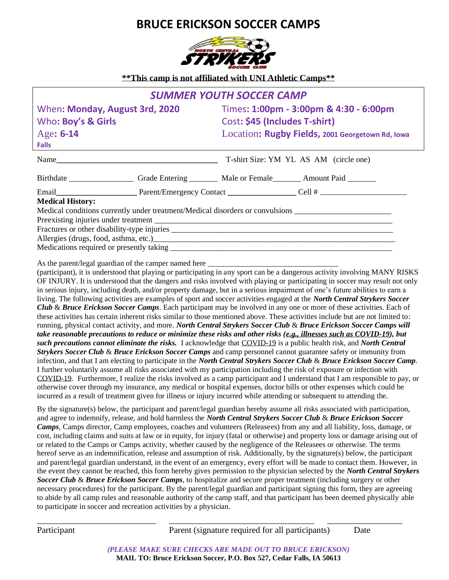## **BRUCE ERICKSON SOCCER CAMPS**



**\*\*This camp is not affiliated with UNI Athletic Camps\*\***

|                                                      |  | <b>SUMMER YOUTH SOCCER CAMP</b>                                         |                                                                                                                                                                                                                               |  |
|------------------------------------------------------|--|-------------------------------------------------------------------------|-------------------------------------------------------------------------------------------------------------------------------------------------------------------------------------------------------------------------------|--|
| When: Monday, August 3rd, 2020<br>Who: Boy's & Girls |  | Times: 1:00pm - 3:00pm & 4:30 - 6:00pm<br>Cost: \$45 (Includes T-shirt) |                                                                                                                                                                                                                               |  |
|                                                      |  |                                                                         |                                                                                                                                                                                                                               |  |
| Falls                                                |  |                                                                         |                                                                                                                                                                                                                               |  |
|                                                      |  |                                                                         | T-shirt Size: YM YL AS AM (circle one)                                                                                                                                                                                        |  |
|                                                      |  |                                                                         |                                                                                                                                                                                                                               |  |
|                                                      |  |                                                                         | Email Email Email Email Email Email Email Email Email Email Email Email Email Email Email Email Email Email Email Email Email Email Email Email Email Email Email Email Email Email Email Email Email Email Email Email Email |  |
| <b>Medical History:</b>                              |  |                                                                         |                                                                                                                                                                                                                               |  |
|                                                      |  |                                                                         | Medical conditions currently under treatment/Medical disorders or convulsions                                                                                                                                                 |  |
|                                                      |  |                                                                         |                                                                                                                                                                                                                               |  |
|                                                      |  |                                                                         |                                                                                                                                                                                                                               |  |
| Allergies (drugs, food, asthma, etc.)                |  |                                                                         |                                                                                                                                                                                                                               |  |
|                                                      |  |                                                                         |                                                                                                                                                                                                                               |  |
|                                                      |  |                                                                         |                                                                                                                                                                                                                               |  |

As the parent/legal guardian of the camper named here

(participant), it is understood that playing or participating in any sport can be a dangerous activity involving MANY RISKS OF INJURY. It is understood that the dangers and risks involved with playing or participating in soccer may result not only in serious injury, including death, and/or property damage, but in a serious impairment of one's future abilities to earn a living. The following activities are examples of sport and soccer activities engaged at the *North Central Strykers Soccer Club* & *Bruce Erickson Soccer Camps*. Each participant may be involved in any one or more of these activities. Each of these activities has certain inherent risks similar to those mentioned above. These activities include but are not limited to: running, physical contact activity, and more. *North Central Strykers Soccer Club* & *Bruce Erickson Soccer Camps will take reasonable precautions to reduce or minimize these risks and other risks (e.g., illnesses such as COVID-19), but such precautions cannot eliminate the risks.* I acknowledge that COVID-19 is a public health risk, and *North Central Strykers Soccer Club* & *Bruce Erickson Soccer Camps* and camp personnel cannot guarantee safety or immunity from infection, and that I am electing to participate in the *North Central Strykers Soccer Club* & *Bruce Erickson Soccer Camp*. I further voluntarily assume all risks associated with my participation including the risk of exposure or infection with COVID-19. Furthermore, I realize the risks involved as a camp participant and I understand that I am responsible to pay, or otherwise cover through my insurance, any medical or hospital expenses, doctor bills or other expenses which could be incurred as a result of treatment given for illness or injury incurred while attending or subsequent to attending the.

By the signature(s) below, the participant and parent/legal guardian hereby assume all risks associated with participation, and agree to indemnify, release, and hold harmless the *North Central Strykers Soccer Club* & *Bruce Erickson Soccer Camps*, Camps director, Camp employees, coaches and volunteers (Releasees) from any and all liability, loss, damage, or cost, including claims and suits at law or in equity, for injury (fatal or otherwise) and property loss or damage arising out of or related to the Camps or Camps activity, whether caused by the negligence of the Releasees or otherwise. The terms hereof serve as an indemnification, release and assumption of risk. Additionally, by the signature(s) below, the participant and parent/legal guardian understand, in the event of an emergency, every effort will be made to contact them. However, in the event they cannot be reached, this form hereby gives permission to the physician selected by the *North Central Strykers Soccer Club* & *Bruce Erickson Soccer Camps*, to hospitalize and secure proper treatment (including surgery or other necessary procedures) for the participant. By the parent/legal guardian and participant signing this form, they are agreeing to abide by all camp rules and reasonable authority of the camp staff, and that participant has been deemed physically able to participate in soccer and recreation activities by a physician.

Participant Parent (signature required for all participants) Date

*(PLEASE MAKE SURE CHECKS ARE MADE OUT TO BRUCE ERICKSON)* **MAIL TO: Bruce Erickson Soccer, P.O. Box 527, Cedar Falls, IA 50613**

\_\_\_\_\_\_\_\_\_\_\_\_\_\_\_\_\_\_\_\_\_\_\_\_\_\_\_ \_\_\_\_\_\_\_\_\_\_\_\_\_\_\_\_\_\_\_\_\_\_\_\_\_\_\_\_\_\_\_\_\_ \_\_\_\_\_\_\_\_\_\_\_\_\_\_\_\_\_